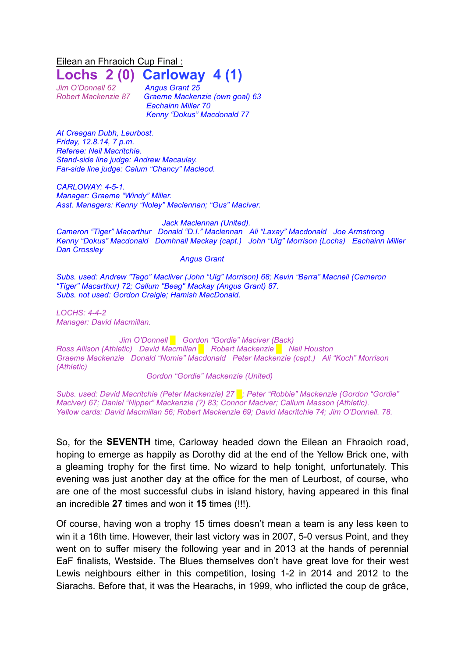Eilean an Fhraoich Cup Final : **Lochs 2 (0) Carloway 4 (1)**

*Jim O'Donnell 62 Angus Grant 25*

*Robert Mackenzie 87 Graeme Mackenzie (own goal) 63 Eachainn Miller 70 Kenny "Dokus" Macdonald 77*

*At Creagan Dubh, Leurbost. Friday, 12.8.14, 7 p.m. Referee: Neil Macritchie. Stand-side line judge: Andrew Macaulay. Far-side line judge: Calum "Chancy" Macleod.*

*CARLOWAY: 4-5-1. Manager: Graeme "Windy" Miller. Asst. Managers: Kenny "Noley" Maclennan; "Gus" Maciver.*

*Jack Maclennan (United).*

*Cameron "Tiger" Macarthur Donald "D.I." Maclennan Ali "Laxay" Macdonald Joe Armstrong Kenny "Dokus" Macdonald Domhnall Mackay (capt.) John "Uig" Morrison (Lochs) Eachainn Miller Dan Crossley*

## *Angus Grant*

*Subs. used: Andrew "Tago" Macliver (John "Uig" Morrison) 68; Kevin "Barra" Macneil (Cameron "Tiger" Macarthur) 72; Callum "Beag" Mackay (Angus Grant) 87. Subs. not used: Gordon Craigie; Hamish MacDonald.*

*LOCHS: 4-4-2 Manager: David Macmillan.*

*Jim O'Donnell █ Gordon "Gordie" Maciver (Back) Ross Allison (Athletic) David Macmillan █ Robert Mackenzie █ Neil Houston Graeme Mackenzie Donald "Nomie" Macdonald Peter Mackenzie (capt.) Ali "Koch" Morrison (Athletic)* 

*Gordon "Gordie" Mackenzie (United)*

*Subs. used: David Macritchie (Peter Mackenzie) 27 █; Peter "Robbie" Mackenzie (Gordon "Gordie" Maciver) 67; Daniel "Nipper" Mackenzie (?) 83; Connor Maciver; Callum Masson (Athletic). Yellow cards: David Macmillan 56; Robert Mackenzie 69; David Macritchie 74; Jim O'Donnell. 78.*

So, for the **SEVENTH** time, Carloway headed down the Eilean an Fhraoich road, hoping to emerge as happily as Dorothy did at the end of the Yellow Brick one, with a gleaming trophy for the first time. No wizard to help tonight, unfortunately. This evening was just another day at the office for the men of Leurbost, of course, who are one of the most successful clubs in island history, having appeared in this final an incredible **27** times and won it **15** times (!!!).

Of course, having won a trophy 15 times doesn't mean a team is any less keen to win it a 16th time. However, their last victory was in 2007, 5-0 versus Point, and they went on to suffer misery the following year and in 2013 at the hands of perennial EaF finalists, Westside. The Blues themselves don't have great love for their west Lewis neighbours either in this competition, losing 1-2 in 2014 and 2012 to the Siarachs. Before that, it was the Hearachs, in 1999, who inflicted the coup de grâce,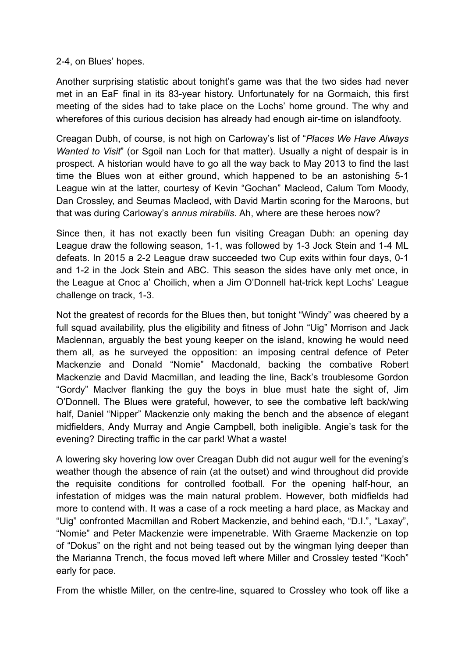## 2-4, on Blues' hopes.

Another surprising statistic about tonight's game was that the two sides had never met in an EaF final in its 83-year history. Unfortunately for na Gormaich, this first meeting of the sides had to take place on the Lochs' home ground. The why and wherefores of this curious decision has already had enough air-time on islandfooty.

Creagan Dubh, of course, is not high on Carloway's list of "*Places We Have Always Wanted to Visit*" (or Sgoil nan Loch for that matter). Usually a night of despair is in prospect. A historian would have to go all the way back to May 2013 to find the last time the Blues won at either ground, which happened to be an astonishing 5-1 League win at the latter, courtesy of Kevin "Gochan" Macleod, Calum Tom Moody, Dan Crossley, and Seumas Macleod, with David Martin scoring for the Maroons, but that was during Carloway's *annus mirabilis*. Ah, where are these heroes now?

Since then, it has not exactly been fun visiting Creagan Dubh: an opening day League draw the following season, 1-1, was followed by 1-3 Jock Stein and 1-4 ML defeats. In 2015 a 2-2 League draw succeeded two Cup exits within four days, 0-1 and 1-2 in the Jock Stein and ABC. This season the sides have only met once, in the League at Cnoc a' Choilich, when a Jim O'Donnell hat-trick kept Lochs' League challenge on track, 1-3.

Not the greatest of records for the Blues then, but tonight "Windy" was cheered by a full squad availability, plus the eligibility and fitness of John "Uig" Morrison and Jack Maclennan, arguably the best young keeper on the island, knowing he would need them all, as he surveyed the opposition: an imposing central defence of Peter Mackenzie and Donald "Nomie" Macdonald, backing the combative Robert Mackenzie and David Macmillan, and leading the line, Back's troublesome Gordon "Gordy" Maclver flanking the guy the boys in blue must hate the sight of, Jim O'Donnell. The Blues were grateful, however, to see the combative left back/wing half, Daniel "Nipper" Mackenzie only making the bench and the absence of elegant midfielders, Andy Murray and Angie Campbell, both ineligible. Angie's task for the evening? Directing traffic in the car park! What a waste!

A lowering sky hovering low over Creagan Dubh did not augur well for the evening's weather though the absence of rain (at the outset) and wind throughout did provide the requisite conditions for controlled football. For the opening half-hour, an infestation of midges was the main natural problem. However, both midfields had more to contend with. It was a case of a rock meeting a hard place, as Mackay and "Uig" confronted Macmillan and Robert Mackenzie, and behind each, "D.I.", "Laxay", "Nomie" and Peter Mackenzie were impenetrable. With Graeme Mackenzie on top of "Dokus" on the right and not being teased out by the wingman lying deeper than the Marianna Trench, the focus moved left where Miller and Crossley tested "Koch" early for pace.

From the whistle Miller, on the centre-line, squared to Crossley who took off like a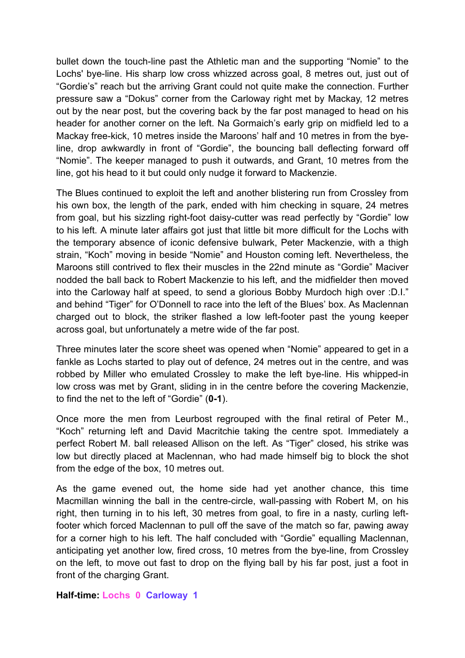bullet down the touch-line past the Athletic man and the supporting "Nomie" to the Lochs' bye-line. His sharp low cross whizzed across goal, 8 metres out, just out of "Gordie's" reach but the arriving Grant could not quite make the connection. Further pressure saw a "Dokus" corner from the Carloway right met by Mackay, 12 metres out by the near post, but the covering back by the far post managed to head on his header for another corner on the left. Na Gormaich's early grip on midfield led to a Mackay free-kick, 10 metres inside the Maroons' half and 10 metres in from the byeline, drop awkwardly in front of "Gordie", the bouncing ball deflecting forward off "Nomie". The keeper managed to push it outwards, and Grant, 10 metres from the line, got his head to it but could only nudge it forward to Mackenzie.

The Blues continued to exploit the left and another blistering run from Crossley from his own box, the length of the park, ended with him checking in square, 24 metres from goal, but his sizzling right-foot daisy-cutter was read perfectly by "Gordie" low to his left. A minute later affairs got just that little bit more difficult for the Lochs with the temporary absence of iconic defensive bulwark, Peter Mackenzie, with a thigh strain, "Koch" moving in beside "Nomie" and Houston coming left. Nevertheless, the Maroons still contrived to flex their muscles in the 22nd minute as "Gordie" Maciver nodded the ball back to Robert Mackenzie to his left, and the midfielder then moved into the Carloway half at speed, to send a glorious Bobby Murdoch high over :D.I." and behind "Tiger" for O'Donnell to race into the left of the Blues' box. As Maclennan charged out to block, the striker flashed a low left-footer past the young keeper across goal, but unfortunately a metre wide of the far post.

Three minutes later the score sheet was opened when "Nomie" appeared to get in a fankle as Lochs started to play out of defence, 24 metres out in the centre, and was robbed by Miller who emulated Crossley to make the left bye-line. His whipped-in low cross was met by Grant, sliding in in the centre before the covering Mackenzie, to find the net to the left of "Gordie" (**0-1**).

Once more the men from Leurbost regrouped with the final retiral of Peter M., "Koch" returning left and David Macritchie taking the centre spot. Immediately a perfect Robert M. ball released Allison on the left. As "Tiger" closed, his strike was low but directly placed at Maclennan, who had made himself big to block the shot from the edge of the box, 10 metres out.

As the game evened out, the home side had yet another chance, this time Macmillan winning the ball in the centre-circle, wall-passing with Robert M, on his right, then turning in to his left, 30 metres from goal, to fire in a nasty, curling leftfooter which forced Maclennan to pull off the save of the match so far, pawing away for a corner high to his left. The half concluded with "Gordie" equalling Maclennan, anticipating yet another low, fired cross, 10 metres from the bye-line, from Crossley on the left, to move out fast to drop on the flying ball by his far post, just a foot in front of the charging Grant.

**Half-time: Lochs 0 Carloway 1**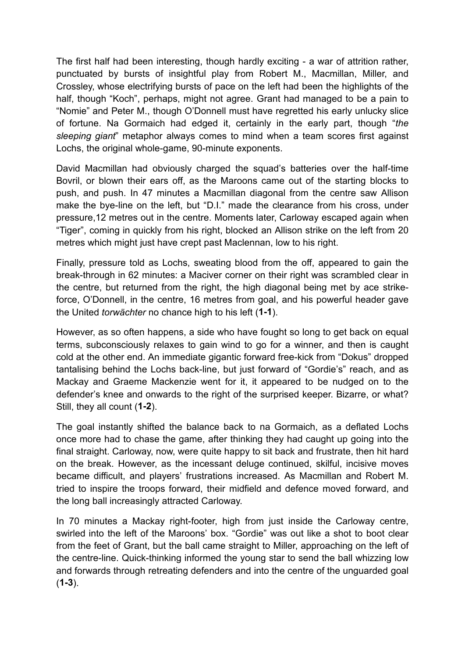The first half had been interesting, though hardly exciting - a war of attrition rather, punctuated by bursts of insightful play from Robert M., Macmillan, Miller, and Crossley, whose electrifying bursts of pace on the left had been the highlights of the half, though "Koch", perhaps, might not agree. Grant had managed to be a pain to "Nomie" and Peter M., though O'Donnell must have regretted his early unlucky slice of fortune. Na Gormaich had edged it, certainly in the early part, though "*the sleeping giant*" metaphor always comes to mind when a team scores first against Lochs, the original whole-game, 90-minute exponents.

David Macmillan had obviously charged the squad's batteries over the half-time Bovril, or blown their ears off, as the Maroons came out of the starting blocks to push, and push. In 47 minutes a Macmillan diagonal from the centre saw Allison make the bye-line on the left, but "D.I." made the clearance from his cross, under pressure,12 metres out in the centre. Moments later, Carloway escaped again when "Tiger", coming in quickly from his right, blocked an Allison strike on the left from 20 metres which might just have crept past Maclennan, low to his right.

Finally, pressure told as Lochs, sweating blood from the off, appeared to gain the break-through in 62 minutes: a Maciver corner on their right was scrambled clear in the centre, but returned from the right, the high diagonal being met by ace strikeforce, O'Donnell, in the centre, 16 metres from goal, and his powerful header gave the United *torwächter* no chance high to his left (**1-1**).

However, as so often happens, a side who have fought so long to get back on equal terms, subconsciously relaxes to gain wind to go for a winner, and then is caught cold at the other end. An immediate gigantic forward free-kick from "Dokus" dropped tantalising behind the Lochs back-line, but just forward of "Gordie's" reach, and as Mackay and Graeme Mackenzie went for it, it appeared to be nudged on to the defender's knee and onwards to the right of the surprised keeper. Bizarre, or what? Still, they all count (**1-2**).

The goal instantly shifted the balance back to na Gormaich, as a deflated Lochs once more had to chase the game, after thinking they had caught up going into the final straight. Carloway, now, were quite happy to sit back and frustrate, then hit hard on the break. However, as the incessant deluge continued, skilful, incisive moves became difficult, and players' frustrations increased. As Macmillan and Robert M. tried to inspire the troops forward, their midfield and defence moved forward, and the long ball increasingly attracted Carloway.

In 70 minutes a Mackay right-footer, high from just inside the Carloway centre, swirled into the left of the Maroons' box. "Gordie" was out like a shot to boot clear from the feet of Grant, but the ball came straight to Miller, approaching on the left of the centre-line. Quick-thinking informed the young star to send the ball whizzing low and forwards through retreating defenders and into the centre of the unguarded goal (**1-3**).